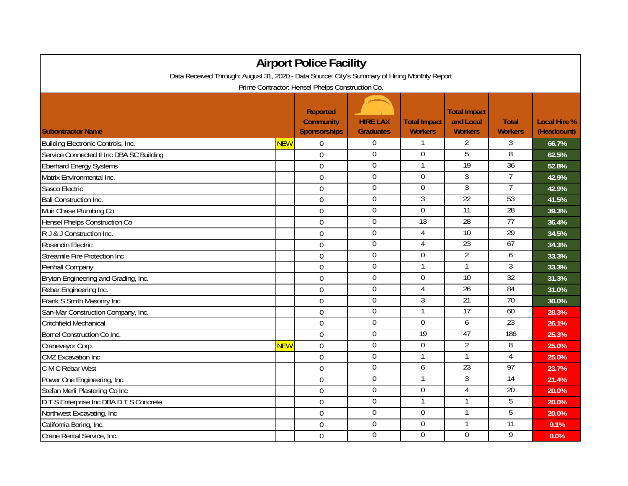| <b>Airport Police Facility</b>                                                                |            |                                                     |                                     |                                       |                                                    |                                |                                    |  |  |  |  |  |
|-----------------------------------------------------------------------------------------------|------------|-----------------------------------------------------|-------------------------------------|---------------------------------------|----------------------------------------------------|--------------------------------|------------------------------------|--|--|--|--|--|
| Data Received Through: August 31, 2020 - Data Source: City's Summary of Hiring Monthly Report |            |                                                     |                                     |                                       |                                                    |                                |                                    |  |  |  |  |  |
| Prime Contractor: Hensel Phelps Construction Co.                                              |            |                                                     |                                     |                                       |                                                    |                                |                                    |  |  |  |  |  |
| <b>Subontractor Name</b>                                                                      |            | <b>Reported</b><br><b>Community</b><br>Sponsorships | <b>HIRE LAX</b><br><b>Graduates</b> | <b>Total Impact</b><br><b>Workers</b> | <b>Total Impact</b><br>and Local<br><b>Workers</b> | <b>Total</b><br><b>Workers</b> | <b>Local Hire %</b><br>(Headcount) |  |  |  |  |  |
| Building Electronic Controls, Inc.                                                            | <b>NEW</b> | $\Omega$                                            | $\boldsymbol{0}$                    |                                       | 2                                                  | 3                              | 66.7%                              |  |  |  |  |  |
| Service Connected II Inc DBA SC Building                                                      |            | $\mathbf 0$                                         | $\overline{0}$                      | $\mathbf 0$                           | 5                                                  | 8                              | 62.5%                              |  |  |  |  |  |
| <b>Eberhard Energy Systems</b>                                                                |            | $\overline{0}$                                      | $\mathbf 0$                         | 1                                     | 19                                                 | 36                             | 52.8%                              |  |  |  |  |  |
| Matrix Environmental Inc.                                                                     |            | 0                                                   | $\overline{0}$                      | $\overline{0}$                        | $\overline{3}$                                     | $\overline{7}$                 | 42.9%                              |  |  |  |  |  |
| Sasco Electric                                                                                |            | $\Omega$                                            | $\boldsymbol{0}$                    | $\Omega$                              | $\overline{3}$                                     | $\overline{7}$                 | 42.9%                              |  |  |  |  |  |
| <b>Bali Construction Inc.</b>                                                                 |            | $\mathbf 0$                                         | $\mathbf 0$                         | 3                                     | 22                                                 | 53                             | 41.5%                              |  |  |  |  |  |
| Muir Chase Plumbing Co                                                                        |            | $\mathbf 0$                                         | $\boldsymbol{0}$                    | $\mathbf 0$                           | 11                                                 | 28                             | 39.3%                              |  |  |  |  |  |
| Hensel Phelps Construction Co                                                                 |            | $\mathbf 0$                                         | $\overline{0}$                      | 13                                    | 28                                                 | 77                             | 36.4%                              |  |  |  |  |  |
| R J & J Construction Inc.                                                                     |            | $\mathbf 0$                                         | $\mathbf 0$                         | $\overline{4}$                        | $\overline{10}$                                    | $\overline{29}$                | 34.5%                              |  |  |  |  |  |
| Rosendin Electric                                                                             |            | 0                                                   | $\overline{0}$                      | $\overline{4}$                        | 23                                                 | 67                             | 34.3%                              |  |  |  |  |  |
| Streamile Fire Protection Inc                                                                 |            | $\mathbf 0$                                         | $\Omega$                            | $\Omega$                              | $\overline{2}$                                     | 6                              | 33.3%                              |  |  |  |  |  |
| Penhall Company                                                                               |            | $\mathbf 0$                                         | $\boldsymbol{0}$                    |                                       | 1                                                  | 3                              | 33.3%                              |  |  |  |  |  |
| Bryton Engineering and Grading, Inc.                                                          |            | $\overline{0}$                                      | $\boldsymbol{0}$                    | $\mathbf 0$                           | $\overline{10}$                                    | 32                             | 31.3%                              |  |  |  |  |  |
| Rebar Engineering Inc.                                                                        |            | $\mathbf 0$                                         | $\mathbf 0$                         | $\overline{4}$                        | $\overline{26}$                                    | 84                             | 31.0%                              |  |  |  |  |  |
| Frank S Smith Masonry Inc                                                                     |            | $\mathbf 0$                                         | $\mathbf 0$                         | 3                                     | $\overline{21}$                                    | $\overline{70}$                | 30.0%                              |  |  |  |  |  |
| San-Mar Construction Company, Inc.                                                            |            | 0                                                   | $\overline{0}$                      |                                       | 17                                                 | 60                             | 28.3%                              |  |  |  |  |  |
| <b>Critchfield Mechanical</b>                                                                 |            | $\overline{0}$                                      | $\Omega$                            | $\Omega$                              | 6                                                  | 23                             | 26.1%                              |  |  |  |  |  |
| <b>Bomel Construction Co Inc.</b>                                                             |            | $\mathbf 0$                                         | $\boldsymbol{0}$                    | 19                                    | 47                                                 | 186                            | 25.3%                              |  |  |  |  |  |
| Craneveyor Corp.                                                                              | <b>NEW</b> | $\mathbf 0$                                         | $\boldsymbol{0}$                    | $\boldsymbol{0}$                      | $\overline{2}$                                     | 8                              | 25.0%                              |  |  |  |  |  |
| <b>CMZ</b> Excavation Inc                                                                     |            | $\mathbf 0$                                         | $\boldsymbol{0}$                    |                                       | 1                                                  | 4                              | 25.0%                              |  |  |  |  |  |
| C M C Rebar West                                                                              |            | $\mathbf 0$                                         | $\boldsymbol{0}$                    | 6                                     | 23                                                 | 97                             | 23.7%                              |  |  |  |  |  |
| Power One Engineering, Inc.                                                                   |            | $\Omega$                                            | $\overline{0}$                      |                                       | $\overline{3}$                                     | 14                             | 21.4%                              |  |  |  |  |  |
| Stefan Merli Plastering Co Inc                                                                |            | $\mathbf 0$                                         | $\Omega$                            | $\Omega$                              | 4                                                  | 20                             | 20.0%                              |  |  |  |  |  |
| D T S Enterprise Inc DBA D T S Concrete                                                       |            | $\mathbf 0$                                         | $\overline{0}$                      |                                       | 1                                                  | $\overline{5}$                 | 20.0%                              |  |  |  |  |  |
| Northwest Excavating, Inc.                                                                    |            | $\mathbf 0$                                         | $\overline{0}$                      | $\overline{0}$                        | 1                                                  | $\overline{5}$                 | 20.0%                              |  |  |  |  |  |
| California Boring, Inc.                                                                       |            | $\overline{0}$                                      | $\boldsymbol{0}$                    | $\boldsymbol{0}$                      | 1                                                  | 11                             | 9.1%                               |  |  |  |  |  |
| Crane Rental Service, Inc.                                                                    |            | $\mathbf 0$                                         | $\boldsymbol{0}$                    | $\overline{0}$                        | 0                                                  | 9                              | 0.0%                               |  |  |  |  |  |